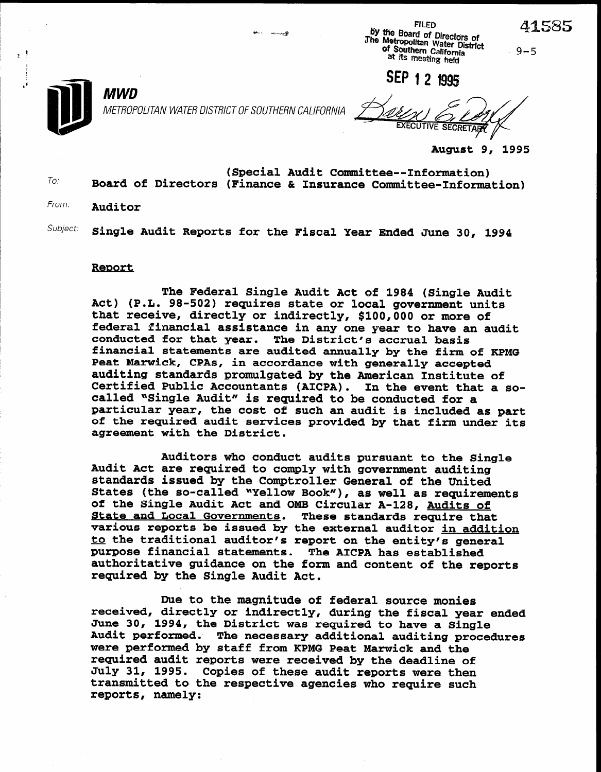$9 - 5$ 

FILED BY ffie Board of Directors of The Metropolitan Water District of Southern California at its meeting held

SEP 1 2 1995



METROPOLITAN WATER DISTRICT OF SOUTHERN CALIFORNIA

**EXECUTIVE SECRETA** 

August 9, 1995

To: (Special Audit Committee-Information) Board of Directors (Finance & Insurance Committee-Information)

From: **Auditor** 

 $^{Subject:}$  Single Audit Reports for the Fiscal Year Ended June 30, 1994

## Report

MWD

The Federal Single Audit Act of 1984 (Single Audit Act) (P.L. 98-502) requires state or local government units that receive, directly or indirectly, \$100,000 or more of federal financial assistance in any one year to have an audit conducted for that year. The District's accrual basis financial statements are audited annually by the firm of KPMG Peat Marwick, CPAs, in accordance with generally accepted auditing standards promulgated by the American Institute of auditing standards promuigated by the American institute or<br>Certified Public Accountants (AICPA), In the event that a socertified Public Accountants (AICPA). In the event that<br>called NGingle Audit# is required to be conducted for a called "Single Audit" is required to be conducted for a particular year, the cost of such an audit is included as part of the required audit services provided by that firm under its agreement with the District.

Auditors who conduct audits pursuant to the Single Auditors who conduct audits pursuant to the S Audit Act are required to comply with government auditing standards issued by the Comptroller General of the United States (the so-called "Yellow Book"), as well as requirements of the Single Audit Act and OMB Circular A-128, Audits of<br>State and Local Governments. These standards require that State and Local Governments. various reports be issued by the external auditor in addition to the traditional auditor's report on the entity's general purpose financial statements. The AICPA has established authoritative guidance on the form and content of the reports required by the Single Audit Act.

Due to the magnitude of federal source monies **received, direct or individual year end in the field of federal source monies** received, directly or indirectly, during the fiscal year ended June 30, 1994, the District was required to have a Single Audit performed. The necessary additional auditing procedures were performed by staff from KPMG Peat Marwick and the required audit reports were received by the deadline of July 31, 1995. Copies of these audit reports were then transmitted to the respective agencies who require such reports, namely: